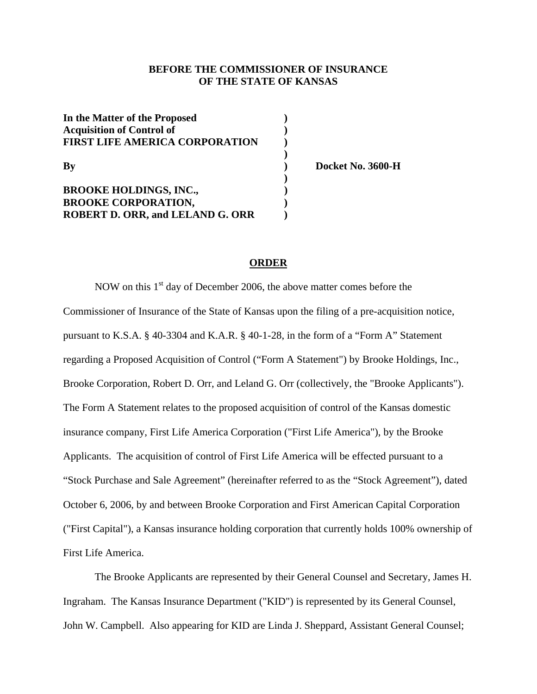## **BEFORE THE COMMISSIONER OF INSURANCE OF THE STATE OF KANSAS**

| In the Matter of the Proposed           |  |
|-----------------------------------------|--|
| <b>Acquisition of Control of</b>        |  |
| <b>FIRST LIFE AMERICA CORPORATION</b>   |  |
|                                         |  |
| By                                      |  |
|                                         |  |
| <b>BROOKE HOLDINGS, INC.,</b>           |  |
| <b>BROOKE CORPORATION,</b>              |  |
| <b>ROBERT D. ORR, and LELAND G. ORR</b> |  |

**By ) Docket No. 3600-H** 

#### **ORDER**

NOW on this  $1<sup>st</sup>$  day of December 2006, the above matter comes before the Commissioner of Insurance of the State of Kansas upon the filing of a pre-acquisition notice, pursuant to K.S.A. § 40-3304 and K.A.R. § 40-1-28, in the form of a "Form A" Statement regarding a Proposed Acquisition of Control ("Form A Statement") by Brooke Holdings, Inc., Brooke Corporation, Robert D. Orr, and Leland G. Orr (collectively, the "Brooke Applicants"). The Form A Statement relates to the proposed acquisition of control of the Kansas domestic insurance company, First Life America Corporation ("First Life America"), by the Brooke Applicants. The acquisition of control of First Life America will be effected pursuant to a "Stock Purchase and Sale Agreement" (hereinafter referred to as the "Stock Agreement"), dated October 6, 2006, by and between Brooke Corporation and First American Capital Corporation ("First Capital"), a Kansas insurance holding corporation that currently holds 100% ownership of First Life America.

 The Brooke Applicants are represented by their General Counsel and Secretary, James H. Ingraham. The Kansas Insurance Department ("KID") is represented by its General Counsel, John W. Campbell. Also appearing for KID are Linda J. Sheppard, Assistant General Counsel;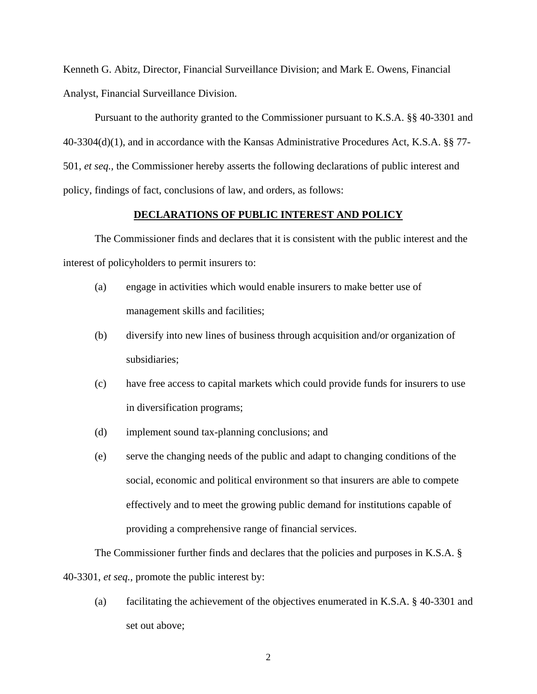Kenneth G. Abitz, Director, Financial Surveillance Division; and Mark E. Owens, Financial Analyst, Financial Surveillance Division.

Pursuant to the authority granted to the Commissioner pursuant to K.S.A. §§ 40-3301 and 40-3304(d)(1), and in accordance with the Kansas Administrative Procedures Act, K.S.A. §§ 77- 501, *et seq.,* the Commissioner hereby asserts the following declarations of public interest and policy, findings of fact, conclusions of law, and orders, as follows:

### **DECLARATIONS OF PUBLIC INTEREST AND POLICY**

 The Commissioner finds and declares that it is consistent with the public interest and the interest of policyholders to permit insurers to:

- (a) engage in activities which would enable insurers to make better use of management skills and facilities;
- (b) diversify into new lines of business through acquisition and/or organization of subsidiaries;
- (c) have free access to capital markets which could provide funds for insurers to use in diversification programs;
- (d) implement sound tax-planning conclusions; and
- (e) serve the changing needs of the public and adapt to changing conditions of the social, economic and political environment so that insurers are able to compete effectively and to meet the growing public demand for institutions capable of providing a comprehensive range of financial services.

The Commissioner further finds and declares that the policies and purposes in K.S.A. § 40-3301, *et seq.,* promote the public interest by:

(a) facilitating the achievement of the objectives enumerated in K.S.A. § 40-3301 and set out above;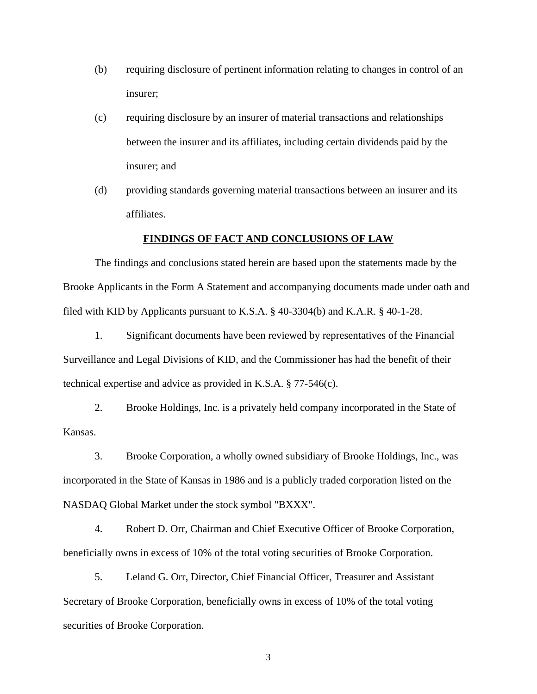- (b) requiring disclosure of pertinent information relating to changes in control of an insurer;
- (c) requiring disclosure by an insurer of material transactions and relationships between the insurer and its affiliates, including certain dividends paid by the insurer; and
- (d) providing standards governing material transactions between an insurer and its affiliates.

### **FINDINGS OF FACT AND CONCLUSIONS OF LAW**

The findings and conclusions stated herein are based upon the statements made by the Brooke Applicants in the Form A Statement and accompanying documents made under oath and filed with KID by Applicants pursuant to K.S.A. § 40-3304(b) and K.A.R. § 40-1-28.

1. Significant documents have been reviewed by representatives of the Financial Surveillance and Legal Divisions of KID, and the Commissioner has had the benefit of their technical expertise and advice as provided in K.S.A. § 77-546(c).

2. Brooke Holdings, Inc. is a privately held company incorporated in the State of Kansas.

3. Brooke Corporation, a wholly owned subsidiary of Brooke Holdings, Inc., was incorporated in the State of Kansas in 1986 and is a publicly traded corporation listed on the NASDAQ Global Market under the stock symbol "BXXX".

4. Robert D. Orr, Chairman and Chief Executive Officer of Brooke Corporation, beneficially owns in excess of 10% of the total voting securities of Brooke Corporation.

5. Leland G. Orr, Director, Chief Financial Officer, Treasurer and Assistant Secretary of Brooke Corporation, beneficially owns in excess of 10% of the total voting securities of Brooke Corporation.

3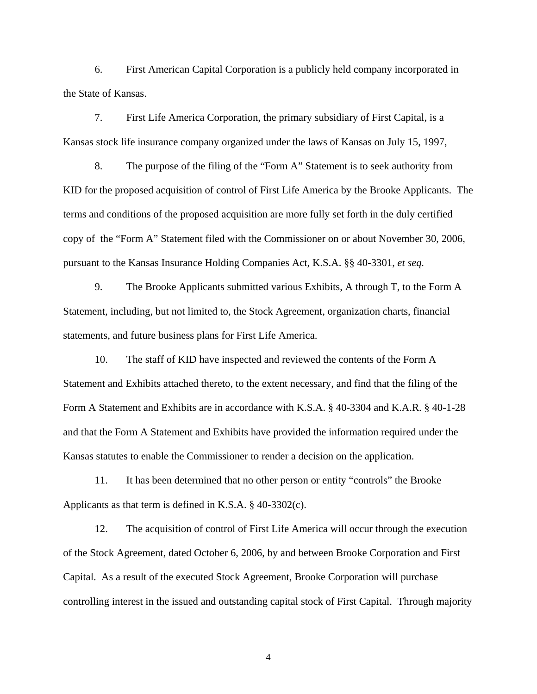6. First American Capital Corporation is a publicly held company incorporated in the State of Kansas.

7. First Life America Corporation, the primary subsidiary of First Capital, is a Kansas stock life insurance company organized under the laws of Kansas on July 15, 1997,

 8. The purpose of the filing of the "Form A" Statement is to seek authority from KID for the proposed acquisition of control of First Life America by the Brooke Applicants. The terms and conditions of the proposed acquisition are more fully set forth in the duly certified copy of the "Form A" Statement filed with the Commissioner on or about November 30, 2006, pursuant to the Kansas Insurance Holding Companies Act, K.S.A. §§ 40-3301, *et seq.*

 9. The Brooke Applicants submitted various Exhibits, A through T, to the Form A Statement, including, but not limited to, the Stock Agreement, organization charts, financial statements, and future business plans for First Life America.

10. The staff of KID have inspected and reviewed the contents of the Form A Statement and Exhibits attached thereto, to the extent necessary, and find that the filing of the Form A Statement and Exhibits are in accordance with K.S.A. § 40-3304 and K.A.R. § 40-1-28 and that the Form A Statement and Exhibits have provided the information required under the Kansas statutes to enable the Commissioner to render a decision on the application.

 11. It has been determined that no other person or entity "controls" the Brooke Applicants as that term is defined in K.S.A. § 40-3302(c).

12. The acquisition of control of First Life America will occur through the execution of the Stock Agreement, dated October 6, 2006, by and between Brooke Corporation and First Capital. As a result of the executed Stock Agreement, Brooke Corporation will purchase controlling interest in the issued and outstanding capital stock of First Capital. Through majority

4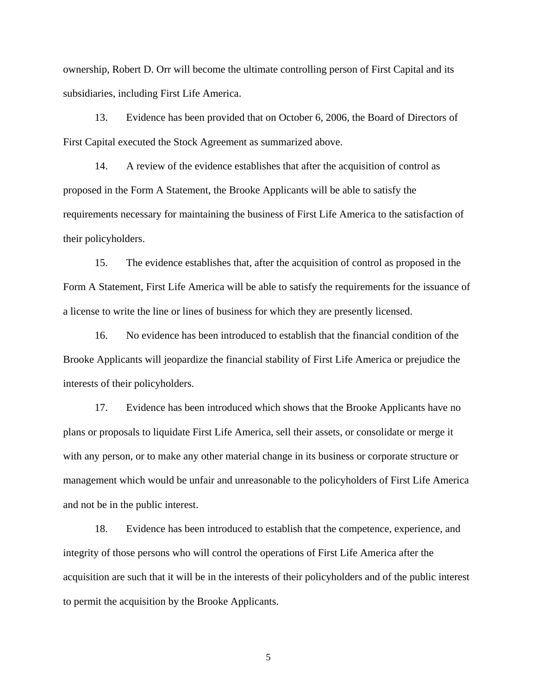ownership, Robert D. Orr will become the ultimate controlling person of First Capital and its subsidiaries, including First Life America.

13. Evidence has been provided that on October 6, 2006, the Board of Directors of First Capital executed the Stock Agreement as summarized above.

14. A review of the evidence establishes that after the acquisition of control as proposed in the Form A Statement, the Brooke Applicants will be able to satisfy the requirements necessary for maintaining the business of First Life America to the satisfaction of their policyholders.

15. The evidence establishes that, after the acquisition of control as proposed in the Form A Statement, First Life America will be able to satisfy the requirements for the issuance of a license to write the line or lines of business for which they are presently licensed.

16. No evidence has been introduced to establish that the financial condition of the Brooke Applicants will jeopardize the financial stability of First Life America or prejudice the interests of their policyholders.

17. Evidence has been introduced which shows that the Brooke Applicants have no plans or proposals to liquidate First Life America, sell their assets, or consolidate or merge it with any person, or to make any other material change in its business or corporate structure or management which would be unfair and unreasonable to the policyholders of First Life America and not be in the public interest.

18. Evidence has been introduced to establish that the competence, experience, and integrity of those persons who will control the operations of First Life America after the acquisition are such that it will be in the interests of their policyholders and of the public interest to permit the acquisition by the Brooke Applicants.

5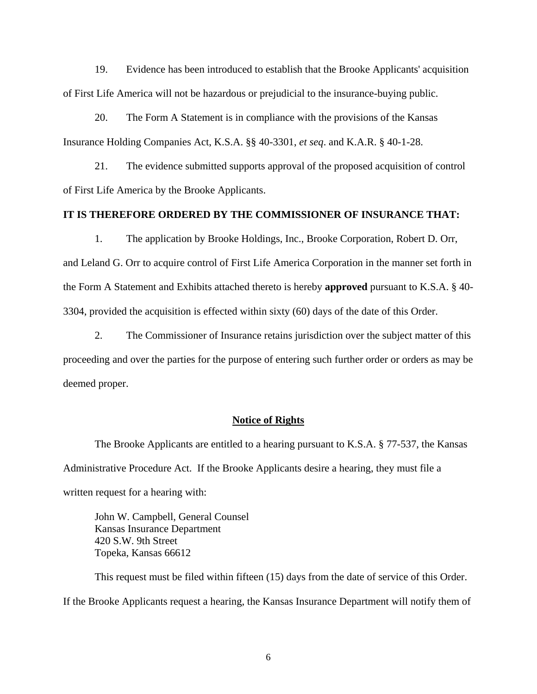19. Evidence has been introduced to establish that the Brooke Applicants' acquisition of First Life America will not be hazardous or prejudicial to the insurance-buying public.

20. The Form A Statement is in compliance with the provisions of the Kansas Insurance Holding Companies Act, K.S.A. §§ 40-3301, *et seq*. and K.A.R. § 40-1-28.

21. The evidence submitted supports approval of the proposed acquisition of control of First Life America by the Brooke Applicants.

## **IT IS THEREFORE ORDERED BY THE COMMISSIONER OF INSURANCE THAT:**

 1. The application by Brooke Holdings, Inc., Brooke Corporation, Robert D. Orr, and Leland G. Orr to acquire control of First Life America Corporation in the manner set forth in the Form A Statement and Exhibits attached thereto is hereby **approved** pursuant to K.S.A. § 40- 3304, provided the acquisition is effected within sixty (60) days of the date of this Order.

 2. The Commissioner of Insurance retains jurisdiction over the subject matter of this proceeding and over the parties for the purpose of entering such further order or orders as may be deemed proper.

#### **Notice of Rights**

 The Brooke Applicants are entitled to a hearing pursuant to K.S.A. § 77-537, the Kansas Administrative Procedure Act. If the Brooke Applicants desire a hearing, they must file a written request for a hearing with:

John W. Campbell, General Counsel Kansas Insurance Department 420 S.W. 9th Street Topeka, Kansas 66612

 This request must be filed within fifteen (15) days from the date of service of this Order. If the Brooke Applicants request a hearing, the Kansas Insurance Department will notify them of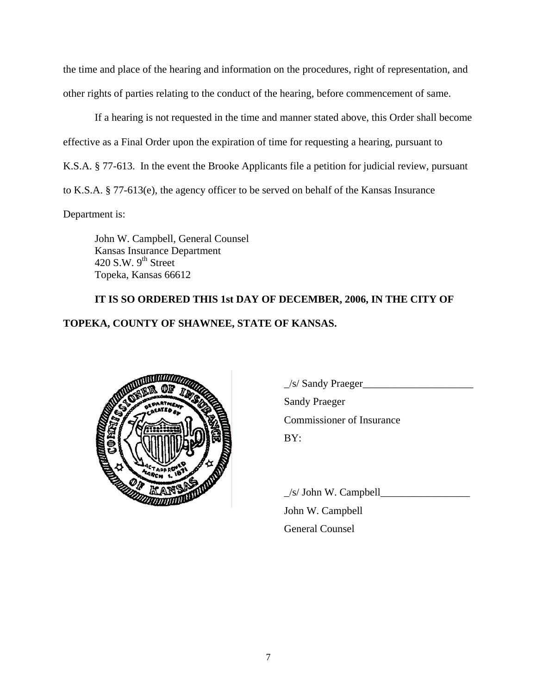the time and place of the hearing and information on the procedures, right of representation, and other rights of parties relating to the conduct of the hearing, before commencement of same.

 If a hearing is not requested in the time and manner stated above, this Order shall become effective as a Final Order upon the expiration of time for requesting a hearing, pursuant to K.S.A. § 77-613. In the event the Brooke Applicants file a petition for judicial review, pursuant to K.S.A. § 77-613(e), the agency officer to be served on behalf of the Kansas Insurance

Department is:

 John W. Campbell, General Counsel Kansas Insurance Department 420 S.W.  $9<sup>th</sup>$  Street Topeka, Kansas 66612

# **IT IS SO ORDERED THIS 1st DAY OF DECEMBER, 2006, IN THE CITY OF TOPEKA, COUNTY OF SHAWNEE, STATE OF KANSAS.**



 $\angle$ s/ Sandy Praeger $\angle$ Sandy Praeger Commissioner of Insurance

 $\angle$ s/ John W. Campbell $\angle$  John W. Campbell General Counsel